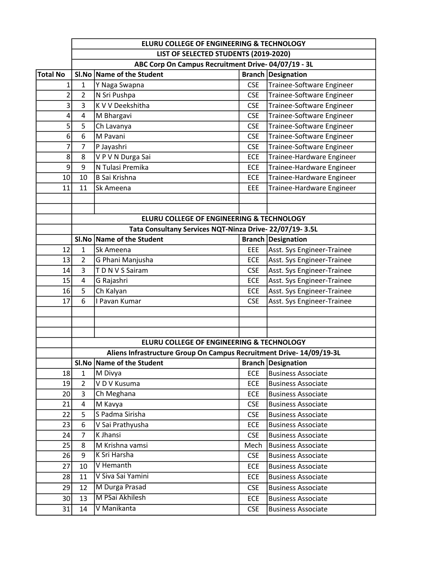|                 | ELURU COLLEGE OF ENGINEERING & TECHNOLOGY          |                                                                     |                          |                                                        |  |
|-----------------|----------------------------------------------------|---------------------------------------------------------------------|--------------------------|--------------------------------------------------------|--|
|                 | LIST OF SELECTED STUDENTS (2019-2020)              |                                                                     |                          |                                                        |  |
|                 | ABC Corp On Campus Recruitment Drive-04/07/19 - 3L |                                                                     |                          |                                                        |  |
| <b>Total No</b> |                                                    | SI.No Name of the Student                                           |                          | <b>Branch Designation</b>                              |  |
| 1               | $\mathbf{1}$                                       | Y Naga Swapna                                                       | <b>CSE</b>               | Trainee-Software Engineer                              |  |
| $\overline{2}$  | $\overline{2}$                                     | N Sri Pushpa                                                        | <b>CSE</b>               | Trainee-Software Engineer                              |  |
| 3               | 3                                                  | K V V Deekshitha                                                    | <b>CSE</b>               | Trainee-Software Engineer                              |  |
| 4               | 4                                                  | M Bhargavi                                                          | <b>CSE</b>               | Trainee-Software Engineer                              |  |
| 5               | 5                                                  | Ch Lavanya                                                          | <b>CSE</b>               | Trainee-Software Engineer                              |  |
| 6               | 6                                                  | M Pavani                                                            | <b>CSE</b>               | Trainee-Software Engineer                              |  |
| 7               | $\overline{7}$                                     | P Jayashri                                                          | <b>CSE</b>               | Trainee-Software Engineer                              |  |
| 8               | 8                                                  | V P V N Durga Sai                                                   | ECE                      | Trainee-Hardware Engineer                              |  |
| 9               | 9                                                  | N Tulasi Premika                                                    | ECE                      | Trainee-Hardware Engineer                              |  |
| 10              | 10                                                 | <b>B Sai Krishna</b>                                                | ECE                      | Trainee-Hardware Engineer                              |  |
| 11              | 11                                                 | Sk Ameena                                                           | EEE                      | Trainee-Hardware Engineer                              |  |
|                 |                                                    |                                                                     |                          |                                                        |  |
|                 |                                                    |                                                                     |                          |                                                        |  |
|                 |                                                    | ELURU COLLEGE OF ENGINEERING & TECHNOLOGY                           |                          |                                                        |  |
|                 |                                                    | Tata Consultany Services NQT-Ninza Drive-22/07/19-3.5L              |                          |                                                        |  |
|                 |                                                    | SI.No Name of the Student                                           |                          | <b>Branch Designation</b>                              |  |
| 12              | $\mathbf{1}$                                       | Sk Ameena                                                           | EEE                      | Asst. Sys Engineer-Trainee                             |  |
| 13              | $\overline{2}$                                     | G Phani Manjusha                                                    | <b>ECE</b>               | Asst. Sys Engineer-Trainee                             |  |
| 14              | 3                                                  | TDNVS Sairam                                                        | <b>CSE</b>               | Asst. Sys Engineer-Trainee                             |  |
| 15              | $\overline{4}$                                     | G Rajashri                                                          | <b>ECE</b>               | Asst. Sys Engineer-Trainee                             |  |
| 16              | 5                                                  | Ch Kalyan                                                           | ECE                      | Asst. Sys Engineer-Trainee                             |  |
| 17              | 6                                                  | I Pavan Kumar                                                       | <b>CSE</b>               | Asst. Sys Engineer-Trainee                             |  |
|                 |                                                    |                                                                     |                          |                                                        |  |
|                 |                                                    |                                                                     |                          |                                                        |  |
|                 |                                                    |                                                                     |                          |                                                        |  |
|                 |                                                    | ELURU COLLEGE OF ENGINEERING & TECHNOLOGY                           |                          |                                                        |  |
|                 |                                                    | Aliens Infrastructure Group On Campus Recruitment Drive-14/09/19-3L |                          |                                                        |  |
|                 |                                                    | SI.No Name of the Student                                           |                          | <b>Branch Designation</b>                              |  |
| 18              | $\mathbf{1}$                                       | M Divya<br>VD V Kusuma                                              | <b>ECE</b>               | <b>Business Associate</b>                              |  |
| 19<br>20        | $\overline{2}$<br>$\overline{3}$                   | Ch Meghana                                                          | <b>ECE</b><br><b>ECE</b> | <b>Business Associate</b><br><b>Business Associate</b> |  |
| 21              | $\overline{4}$                                     | M Kavya                                                             | <b>CSE</b>               |                                                        |  |
| 22              | 5                                                  | S Padma Sirisha                                                     | <b>CSE</b>               | <b>Business Associate</b><br><b>Business Associate</b> |  |
| 23              | 6                                                  | V Sai Prathyusha                                                    | <b>ECE</b>               | <b>Business Associate</b>                              |  |
| 24              | $\overline{7}$                                     | K Jhansi                                                            | <b>CSE</b>               | <b>Business Associate</b>                              |  |
| 25              | 8                                                  | M Krishna vamsi                                                     |                          | <b>Business Associate</b>                              |  |
| 26              | 9                                                  | K Sri Harsha                                                        | Mech<br><b>CSE</b>       | <b>Business Associate</b>                              |  |
| 27              | 10                                                 | V Hemanth                                                           | ECE                      | <b>Business Associate</b>                              |  |
| 28              | 11                                                 | V Siva Sai Yamini                                                   | ECE                      | <b>Business Associate</b>                              |  |
|                 | 12                                                 | M Durga Prasad                                                      |                          |                                                        |  |
| 29              |                                                    | M PSai Akhilesh                                                     | <b>CSE</b>               | <b>Business Associate</b>                              |  |
| 30              | 13                                                 |                                                                     | <b>ECE</b>               | <b>Business Associate</b>                              |  |
| 31              | 14                                                 | V Manikanta                                                         | <b>CSE</b>               | <b>Business Associate</b>                              |  |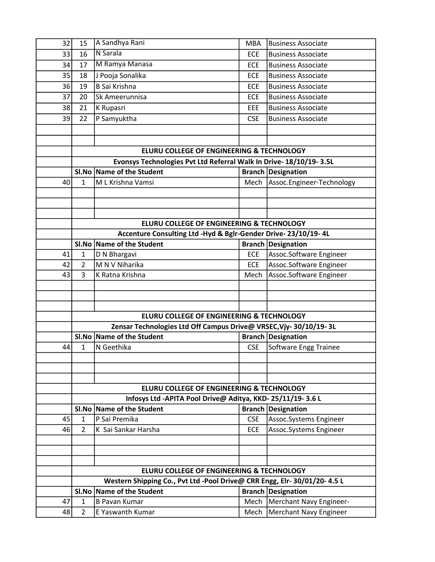| 32 | 15                                        | A Sandhya Rani                                                                                             | <b>MBA</b> | <b>Business Associate</b> |  |  |
|----|-------------------------------------------|------------------------------------------------------------------------------------------------------------|------------|---------------------------|--|--|
| 33 | 16                                        | N Sarala                                                                                                   | <b>ECE</b> | <b>Business Associate</b> |  |  |
| 34 | 17                                        | M Ramya Manasa                                                                                             | <b>ECE</b> | <b>Business Associate</b> |  |  |
| 35 | 18                                        | J Pooja Sonalika                                                                                           | ECE        | <b>Business Associate</b> |  |  |
| 36 | 19                                        | <b>B Sai Krishna</b>                                                                                       | <b>ECE</b> | <b>Business Associate</b> |  |  |
| 37 | 20                                        | Sk Ameerunnisa                                                                                             | <b>ECE</b> | <b>Business Associate</b> |  |  |
| 38 | 21                                        | K Rupasri                                                                                                  | EEE        | <b>Business Associate</b> |  |  |
| 39 | 22                                        | P Samyuktha                                                                                                | <b>CSE</b> | <b>Business Associate</b> |  |  |
|    |                                           |                                                                                                            |            |                           |  |  |
|    |                                           |                                                                                                            |            |                           |  |  |
|    |                                           | ELURU COLLEGE OF ENGINEERING & TECHNOLOGY                                                                  |            |                           |  |  |
|    |                                           | Evonsys Technologies Pvt Ltd Referral Walk In Drive- 18/10/19-3.5L                                         |            |                           |  |  |
|    |                                           | SI.No   Name of the Student                                                                                |            | <b>Branch Designation</b> |  |  |
| 40 | $\mathbf{1}$                              | M L Krishna Vamsi                                                                                          | Mech       | Assoc.Engineer-Technology |  |  |
|    |                                           |                                                                                                            |            |                           |  |  |
|    |                                           |                                                                                                            |            |                           |  |  |
|    |                                           |                                                                                                            |            |                           |  |  |
|    |                                           | ELURU COLLEGE OF ENGINEERING & TECHNOLOGY<br>Accenture Consulting Ltd -Hyd & Bglr-Gender Drive-23/10/19-4L |            |                           |  |  |
|    |                                           | SI.No Name of the Student                                                                                  |            | <b>Branch Designation</b> |  |  |
| 41 | $\mathbf{1}$                              | D N Bhargavi                                                                                               | <b>ECE</b> | Assoc.Software Engineer   |  |  |
| 42 | 2                                         | M N V Niharika                                                                                             | <b>ECE</b> | Assoc.Software Engineer   |  |  |
| 43 | 3                                         | K Ratna Krishna                                                                                            | Mech       | Assoc.Software Engineer   |  |  |
|    |                                           |                                                                                                            |            |                           |  |  |
|    |                                           |                                                                                                            |            |                           |  |  |
|    |                                           |                                                                                                            |            |                           |  |  |
|    | ELURU COLLEGE OF ENGINEERING & TECHNOLOGY |                                                                                                            |            |                           |  |  |
|    |                                           | Zensar Technologies Ltd Off Campus Drive@ VRSEC, Vjy- 30/10/19- 3L                                         |            |                           |  |  |
|    |                                           | SI.No Name of the Student                                                                                  |            | <b>Branch Designation</b> |  |  |
| 44 | $\mathbf{1}$                              | N Geethika                                                                                                 | <b>CSE</b> | Software Engg Trainee     |  |  |
|    |                                           |                                                                                                            |            |                           |  |  |
|    |                                           |                                                                                                            |            |                           |  |  |
|    |                                           |                                                                                                            |            |                           |  |  |
|    |                                           | ELURU COLLEGE OF ENGINEERING & TECHNOLOGY                                                                  |            |                           |  |  |
|    |                                           | Infosys Ltd -APITA Pool Drive@ Aditya, KKD-25/11/19-3.6 L                                                  |            |                           |  |  |
|    |                                           | SI.No Name of the Student                                                                                  |            | <b>Branch Designation</b> |  |  |
| 45 | $\mathbf{1}$<br>$\overline{2}$            | P Sai Premika<br>K Sai Sankar Harsha                                                                       | <b>CSE</b> | Assoc.Systems Engineer    |  |  |
| 46 |                                           |                                                                                                            | <b>ECE</b> | Assoc.Systems Engineer    |  |  |
|    |                                           |                                                                                                            |            |                           |  |  |
|    |                                           |                                                                                                            |            |                           |  |  |
|    |                                           | ELURU COLLEGE OF ENGINEERING & TECHNOLOGY                                                                  |            |                           |  |  |
|    |                                           | Western Shipping Co., Pvt Ltd -Pool Drive@ CRR Engg, Elr- 30/01/20- 4.5 L                                  |            |                           |  |  |
|    |                                           | SI.No   Name of the Student                                                                                |            | <b>Branch Designation</b> |  |  |
| 47 | $\mathbf{1}$                              | <b>B Pavan Kumar</b>                                                                                       | Mech       | Merchant Navy Engineer-   |  |  |
| 48 | $\overline{2}$                            | E Yaswanth Kumar                                                                                           | Mech       | Merchant Navy Engineer    |  |  |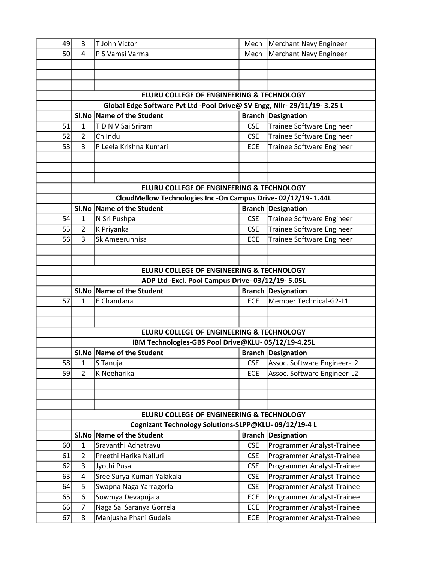| 49 | 3              | T John Victor                                                             | Mech       | Merchant Navy Engineer        |
|----|----------------|---------------------------------------------------------------------------|------------|-------------------------------|
| 50 | 4              | P S Vamsi Varma                                                           | Mech       | <b>Merchant Navy Engineer</b> |
|    |                |                                                                           |            |                               |
|    |                |                                                                           |            |                               |
|    |                |                                                                           |            |                               |
|    |                | ELURU COLLEGE OF ENGINEERING & TECHNOLOGY                                 |            |                               |
|    |                | Global Edge Software Pvt Ltd -Pool Drive@ SV Engg, Nllr- 29/11/19- 3.25 L |            |                               |
|    |                | SI.No   Name of the Student                                               |            | <b>Branch Designation</b>     |
| 51 | 1              | TDNV Sai Sriram                                                           | <b>CSE</b> | Trainee Software Engineer     |
| 52 | $\overline{2}$ | Ch Indu                                                                   | <b>CSE</b> | Trainee Software Engineer     |
| 53 | 3              | P Leela Krishna Kumari                                                    | <b>ECE</b> | Trainee Software Engineer     |
|    |                |                                                                           |            |                               |
|    |                |                                                                           |            |                               |
|    |                |                                                                           |            |                               |
|    |                | ELURU COLLEGE OF ENGINEERING & TECHNOLOGY                                 |            |                               |
|    |                | CloudMellow Technologies Inc -On Campus Drive-02/12/19-1.44L              |            |                               |
|    |                | SI.No Name of the Student                                                 |            | <b>Branch Designation</b>     |
| 54 | $\mathbf{1}$   | N Sri Pushpa                                                              | <b>CSE</b> | Trainee Software Engineer     |
| 55 | $\overline{2}$ |                                                                           | <b>CSE</b> | Trainee Software Engineer     |
| 56 | 3              | K Priyanka<br>Sk Ameerunnisa                                              | <b>ECE</b> | Trainee Software Engineer     |
|    |                |                                                                           |            |                               |
|    |                |                                                                           |            |                               |
|    |                |                                                                           |            |                               |
|    |                | ELURU COLLEGE OF ENGINEERING & TECHNOLOGY                                 |            |                               |
|    |                | ADP Ltd -Excl. Pool Campus Drive-03/12/19-5.05L                           |            |                               |
|    |                | SI.No Name of the Student                                                 |            | <b>Branch Designation</b>     |
| 57 | $\mathbf{1}$   | E Chandana                                                                | <b>ECE</b> | Member Technical-G2-L1        |
|    |                |                                                                           |            |                               |
|    |                |                                                                           |            |                               |
|    |                | ELURU COLLEGE OF ENGINEERING & TECHNOLOGY                                 |            |                               |
|    |                | IBM Technologies-GBS Pool Drive@KLU-05/12/19-4.25L                        |            |                               |
|    |                | SI.No Name of the Student                                                 |            | <b>Branch Designation</b>     |
| 58 | 1              | S Tanuja                                                                  | <b>CSE</b> | Assoc. Software Engineer-L2   |
| 59 | $\overline{2}$ | K Neeharika                                                               | <b>ECE</b> | Assoc. Software Engineer-L2   |
|    |                |                                                                           |            |                               |
|    |                |                                                                           |            |                               |
|    |                |                                                                           |            |                               |
|    |                | ELURU COLLEGE OF ENGINEERING & TECHNOLOGY                                 |            |                               |
|    |                | Cognizant Technology Solutions-SLPP@KLU-09/12/19-4 L                      |            |                               |
|    |                | SI.No Name of the Student                                                 |            | <b>Branch Designation</b>     |
| 60 | $\mathbf{1}$   | Sravanthi Adhatravu                                                       | <b>CSE</b> | Programmer Analyst-Trainee    |
| 61 | $\overline{2}$ | Preethi Harika Nalluri                                                    | <b>CSE</b> | Programmer Analyst-Trainee    |
| 62 | 3              | Jyothi Pusa                                                               | <b>CSE</b> | Programmer Analyst-Trainee    |
| 63 | $\overline{4}$ | Sree Surya Kumari Yalakala                                                | <b>CSE</b> | Programmer Analyst-Trainee    |
| 64 | 5              | Swapna Naga Yarragorla                                                    | <b>CSE</b> | Programmer Analyst-Trainee    |
| 65 | 6              | Sowmya Devapujala                                                         | ECE        | Programmer Analyst-Trainee    |
| 66 | 7              | Naga Sai Saranya Gorrela                                                  | ECE        | Programmer Analyst-Trainee    |
| 67 | 8              | Manjusha Phani Gudela                                                     | ECE        | Programmer Analyst-Trainee    |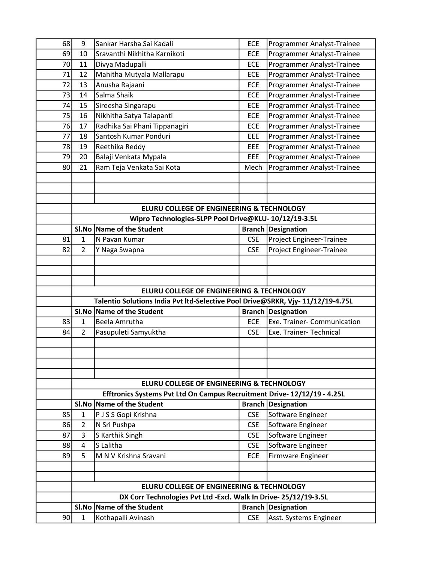| 68 | 9              | Sankar Harsha Sai Kadali                                                                                    | <b>ECE</b> | Programmer Analyst-Trainee  |
|----|----------------|-------------------------------------------------------------------------------------------------------------|------------|-----------------------------|
| 69 | 10             | Sravanthi Nikhitha Karnikoti                                                                                | ECE        | Programmer Analyst-Trainee  |
| 70 | 11             | Divya Madupalli                                                                                             | <b>ECE</b> | Programmer Analyst-Trainee  |
| 71 | 12             | Mahitha Mutyala Mallarapu                                                                                   | <b>ECE</b> | Programmer Analyst-Trainee  |
| 72 | 13             | Anusha Rajaani                                                                                              | <b>ECE</b> | Programmer Analyst-Trainee  |
| 73 | 14             | Salma Shaik                                                                                                 | ECE        | Programmer Analyst-Trainee  |
| 74 | 15             | Sireesha Singarapu                                                                                          | ECE        | Programmer Analyst-Trainee  |
| 75 | 16             | Nikhitha Satya Talapanti                                                                                    | ECE        | Programmer Analyst-Trainee  |
| 76 | 17             | Radhika Sai Phani Tippanagiri                                                                               | <b>ECE</b> | Programmer Analyst-Trainee  |
| 77 | 18             | Santosh Kumar Ponduri                                                                                       | EEE        | Programmer Analyst-Trainee  |
| 78 | 19             | Reethika Reddy                                                                                              | EEE        | Programmer Analyst-Trainee  |
| 79 | 20             | Balaji Venkata Mypala                                                                                       | EEE        | Programmer Analyst-Trainee  |
| 80 | 21             | Ram Teja Venkata Sai Kota                                                                                   | Mech       | Programmer Analyst-Trainee  |
|    |                |                                                                                                             |            |                             |
|    |                |                                                                                                             |            |                             |
|    |                |                                                                                                             |            |                             |
|    |                | ELURU COLLEGE OF ENGINEERING & TECHNOLOGY                                                                   |            |                             |
|    |                | Wipro Technologies-SLPP Pool Drive@KLU- 10/12/19-3.5L                                                       |            |                             |
|    |                | SI.No Name of the Student                                                                                   |            | <b>Branch Designation</b>   |
| 81 | $\mathbf{1}$   | N Pavan Kumar                                                                                               | <b>CSE</b> | Project Engineer-Trainee    |
| 82 | $\overline{2}$ | Y Naga Swapna                                                                                               | <b>CSE</b> | Project Engineer-Trainee    |
|    |                |                                                                                                             |            |                             |
|    |                |                                                                                                             |            |                             |
|    |                |                                                                                                             |            |                             |
|    |                |                                                                                                             |            |                             |
|    |                |                                                                                                             |            |                             |
|    |                | ELURU COLLEGE OF ENGINEERING & TECHNOLOGY                                                                   |            |                             |
|    |                | Talentio Solutions India Pvt Itd-Selective Pool Drive@SRKR, Vjy-11/12/19-4.75L<br>SI.No Name of the Student |            | <b>Branch Designation</b>   |
| 83 | $\mathbf{1}$   | Beela Amrutha                                                                                               | <b>ECE</b> | Exe. Trainer- Communication |
| 84 | $\overline{2}$ |                                                                                                             | <b>CSE</b> |                             |
|    |                | Pasupuleti Samyuktha                                                                                        |            | Exe. Trainer- Technical     |
|    |                |                                                                                                             |            |                             |
|    |                |                                                                                                             |            |                             |
|    |                |                                                                                                             |            |                             |
|    |                | ELURU COLLEGE OF ENGINEERING & TECHNOLOGY                                                                   |            |                             |
|    |                | Efftronics Systems Pvt Ltd On Campus Recruitment Drive- 12/12/19 - 4.25L                                    |            |                             |
|    |                | SI.No   Name of the Student                                                                                 |            | <b>Branch Designation</b>   |
| 85 | $\mathbf{1}$   | P J S S Gopi Krishna                                                                                        | <b>CSE</b> | Software Engineer           |
| 86 | $\overline{2}$ | N Sri Pushpa                                                                                                | <b>CSE</b> | Software Engineer           |
| 87 | 3              | S Karthik Singh                                                                                             | <b>CSE</b> | Software Engineer           |
| 88 | 4              | S Lalitha                                                                                                   | <b>CSE</b> | Software Engineer           |
| 89 | 5              | M N V Krishna Sravani                                                                                       | <b>ECE</b> | Firmware Engineer           |
|    |                |                                                                                                             |            |                             |
|    |                |                                                                                                             |            |                             |
|    |                | ELURU COLLEGE OF ENGINEERING & TECHNOLOGY                                                                   |            |                             |
|    |                | DX Corr Technologies Pvt Ltd - Excl. Walk In Drive- 25/12/19-3.5L                                           |            |                             |
|    |                | SI.No Name of the Student                                                                                   |            | <b>Branch Designation</b>   |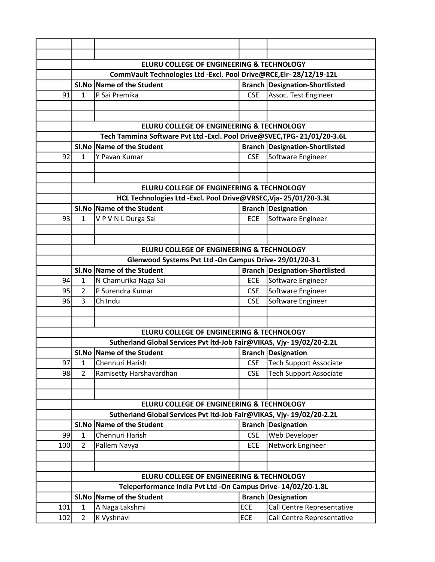|     |                                                                      | <b>ELURU COLLEGE OF ENGINEERING &amp; TECHNOLOGY</b>                     |            |                                       |  |  |
|-----|----------------------------------------------------------------------|--------------------------------------------------------------------------|------------|---------------------------------------|--|--|
|     | CommVault Technologies Ltd - Excl. Pool Drive@RCE, Elr- 28/12/19-12L |                                                                          |            |                                       |  |  |
|     |                                                                      | SI.No Name of the Student                                                |            | <b>Branch Designation-Shortlisted</b> |  |  |
| 91  | $\mathbf{1}$                                                         | P Sai Premika                                                            | <b>CSE</b> | Assoc. Test Engineer                  |  |  |
|     |                                                                      |                                                                          |            |                                       |  |  |
|     |                                                                      |                                                                          |            |                                       |  |  |
|     |                                                                      | ELURU COLLEGE OF ENGINEERING & TECHNOLOGY                                |            |                                       |  |  |
|     |                                                                      | Tech Tammina Software Pvt Ltd -Excl. Pool Drive@SVEC, TPG- 21/01/20-3.6L |            |                                       |  |  |
|     |                                                                      | SI.No Name of the Student                                                |            | <b>Branch Designation-Shortlisted</b> |  |  |
| 92  | 1                                                                    | Y Pavan Kumar                                                            | <b>CSE</b> | Software Engineer                     |  |  |
|     |                                                                      |                                                                          |            |                                       |  |  |
|     |                                                                      |                                                                          |            |                                       |  |  |
|     |                                                                      | ELURU COLLEGE OF ENGINEERING & TECHNOLOGY                                |            |                                       |  |  |
|     |                                                                      | HCL Technologies Ltd -Excl. Pool Drive@VRSEC, Vja- 25/01/20-3.3L         |            |                                       |  |  |
|     |                                                                      | SI.No Name of the Student                                                |            | <b>Branch Designation</b>             |  |  |
| 93  | $\mathbf{1}$                                                         | VPVNLDurga Sai                                                           | <b>ECE</b> | Software Engineer                     |  |  |
|     |                                                                      |                                                                          |            |                                       |  |  |
|     |                                                                      |                                                                          |            |                                       |  |  |
|     |                                                                      | ELURU COLLEGE OF ENGINEERING & TECHNOLOGY                                |            |                                       |  |  |
|     |                                                                      | Glenwood Systems Pvt Ltd -On Campus Drive- 29/01/20-3 L                  |            |                                       |  |  |
|     |                                                                      | SI.No Name of the Student                                                |            | <b>Branch Designation-Shortlisted</b> |  |  |
| 94  | 1                                                                    | N Chamurika Naga Sai                                                     | <b>ECE</b> | Software Engineer                     |  |  |
| 95  | $\overline{2}$                                                       | P Surendra Kumar                                                         | <b>CSE</b> | Software Engineer                     |  |  |
| 96  | 3                                                                    | Ch Indu                                                                  | <b>CSE</b> | Software Engineer                     |  |  |
|     |                                                                      |                                                                          |            |                                       |  |  |
|     |                                                                      |                                                                          |            |                                       |  |  |
|     |                                                                      | <b>ELURU COLLEGE OF ENGINEERING &amp; TECHNOLOGY</b>                     |            |                                       |  |  |
|     |                                                                      | Sutherland Global Services Pvt ltd-Job Fair@VIKAS, Vjy-19/02/20-2.2L     |            |                                       |  |  |
|     |                                                                      | SI.No Name of the Student                                                |            | <b>Branch Designation</b>             |  |  |
| 97  | 1                                                                    | Chennuri Harish                                                          | <b>CSE</b> | <b>Tech Support Associate</b>         |  |  |
| 98  | $\overline{2}$                                                       | Ramisetty Harshavardhan                                                  | <b>CSE</b> | <b>Tech Support Associate</b>         |  |  |
|     |                                                                      |                                                                          |            |                                       |  |  |
|     |                                                                      |                                                                          |            |                                       |  |  |
|     |                                                                      | <b>ELURU COLLEGE OF ENGINEERING &amp; TECHNOLOGY</b>                     |            |                                       |  |  |
|     |                                                                      | Sutherland Global Services Pvt ltd-Job Fair@VIKAS, Vjy-19/02/20-2.2L     |            |                                       |  |  |
|     | Sl.No                                                                | Name of the Student                                                      |            | <b>Branch Designation</b>             |  |  |
| 99  | $\mathbf{1}$                                                         | Chennuri Harish                                                          | <b>CSE</b> | Web Developer                         |  |  |
| 100 | $\overline{2}$                                                       | Pallem Navya                                                             | <b>ECE</b> | Network Engineer                      |  |  |
|     |                                                                      |                                                                          |            |                                       |  |  |
|     |                                                                      |                                                                          |            |                                       |  |  |
|     |                                                                      | ELURU COLLEGE OF ENGINEERING & TECHNOLOGY                                |            |                                       |  |  |
|     |                                                                      | Teleperformance India Pvt Ltd -On Campus Drive- 14/02/20-1.8L            |            |                                       |  |  |
|     | Sl.No                                                                | Name of the Student                                                      |            | <b>Branch Designation</b>             |  |  |
| 101 | $\mathbf{1}$                                                         | A Naga Lakshmi                                                           | ECE        | Call Centre Representative            |  |  |
| 102 | $\overline{2}$                                                       | K Vyshnavi                                                               | <b>ECE</b> | Call Centre Representative            |  |  |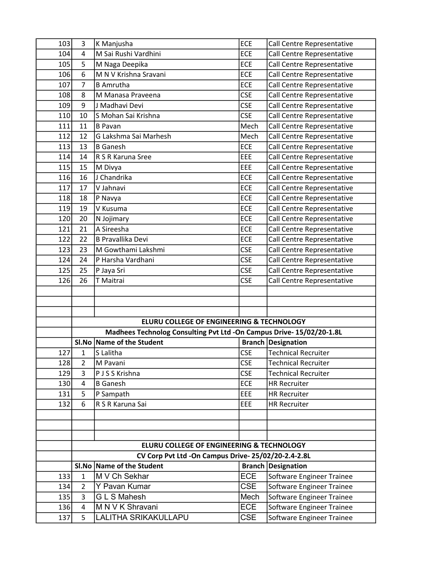| 103 | 3                       | K Manjusha                                                           | ECE        | Call Centre Representative |
|-----|-------------------------|----------------------------------------------------------------------|------------|----------------------------|
| 104 | 4                       | M Sai Rushi Vardhini                                                 | ECE        | Call Centre Representative |
| 105 | 5                       | M Naga Deepika                                                       | ECE        | Call Centre Representative |
| 106 | 6                       | M N V Krishna Sravani                                                | <b>ECE</b> | Call Centre Representative |
| 107 | $\overline{7}$          | <b>B</b> Amrutha                                                     | ECE        | Call Centre Representative |
| 108 | 8                       | M Manasa Praveena                                                    | <b>CSE</b> | Call Centre Representative |
| 109 | 9                       | J Madhavi Devi                                                       | <b>CSE</b> | Call Centre Representative |
| 110 | 10                      | S Mohan Sai Krishna                                                  | <b>CSE</b> | Call Centre Representative |
| 111 | 11                      | <b>B</b> Pavan                                                       | Mech       | Call Centre Representative |
| 112 | 12                      | G Lakshma Sai Marhesh                                                | Mech       | Call Centre Representative |
| 113 | 13                      | <b>B</b> Ganesh                                                      | ECE        | Call Centre Representative |
| 114 | 14                      | R S R Karuna Sree                                                    | EEE        | Call Centre Representative |
| 115 | 15                      | M Divya                                                              | EEE        | Call Centre Representative |
| 116 | 16                      | J Chandrika                                                          | ECE        | Call Centre Representative |
| 117 | 17                      | V Jahnavi                                                            | ECE        | Call Centre Representative |
| 118 | 18                      | P Navya                                                              | ECE        | Call Centre Representative |
| 119 | 19                      | V Kusuma                                                             | ECE        | Call Centre Representative |
| 120 | 20                      | N Jojimary                                                           | ECE        | Call Centre Representative |
| 121 | 21                      | A Sireesha                                                           | ECE        | Call Centre Representative |
| 122 | 22                      | <b>B Pravallika Devi</b>                                             | ECE        | Call Centre Representative |
| 123 | 23                      | M Gowthami Lakshmi                                                   | <b>CSE</b> | Call Centre Representative |
| 124 | 24                      | P Harsha Vardhani                                                    | <b>CSE</b> | Call Centre Representative |
| 125 | 25                      | P Jaya Sri                                                           | <b>CSE</b> | Call Centre Representative |
| 126 | 26                      | T Maitrai                                                            | <b>CSE</b> | Call Centre Representative |
|     |                         |                                                                      |            |                            |
|     |                         |                                                                      |            |                            |
|     |                         |                                                                      |            |                            |
|     |                         | ELURU COLLEGE OF ENGINEERING & TECHNOLOGY                            |            |                            |
|     |                         | Madhees Technolog Consulting Pvt Ltd -On Campus Drive- 15/02/20-1.8L |            |                            |
|     |                         | SI.No Name of the Student                                            |            | <b>Branch Designation</b>  |
| 127 | $\mathbf{1}$            | S Lalitha                                                            | <b>CSE</b> | <b>Technical Recruiter</b> |
| 128 | $\overline{2}$          | M Pavani                                                             | <b>CSE</b> | <b>Technical Recruiter</b> |
| 129 | 3                       | P J S S Krishna                                                      | <b>CSE</b> | <b>Technical Recruiter</b> |
| 130 | 4                       | <b>B</b> Ganesh                                                      | ECE        | <b>HR Recruiter</b>        |
| 131 | 5                       | P Sampath                                                            | <b>EEE</b> | <b>HR Recruiter</b>        |
| 132 | 6                       | R S R Karuna Sai                                                     | EEE        | <b>HR Recruiter</b>        |
|     |                         |                                                                      |            |                            |
|     |                         |                                                                      |            |                            |
|     |                         | ELURU COLLEGE OF ENGINEERING & TECHNOLOGY                            |            |                            |
|     |                         | CV Corp Pvt Ltd -On Campus Drive-25/02/20-2.4-2.8L                   |            |                            |
|     |                         | SI.No Name of the Student                                            |            | <b>Branch Designation</b>  |
| 133 | $\mathbf{1}$            | M V Ch Sekhar                                                        | <b>ECE</b> | Software Engineer Trainee  |
| 134 | $\overline{2}$          | Y Pavan Kumar                                                        | <b>CSE</b> | Software Engineer Trainee  |
| 135 | 3                       | <b>GLS</b> Mahesh                                                    | Mech       | Software Engineer Trainee  |
| 136 | $\overline{\mathbf{4}}$ | M N V K Shravani                                                     | <b>ECE</b> | Software Engineer Trainee  |
| 137 | 5                       | LALITHA SRIKAKULLAPU                                                 | <b>CSE</b> | Software Engineer Trainee  |
|     |                         |                                                                      |            |                            |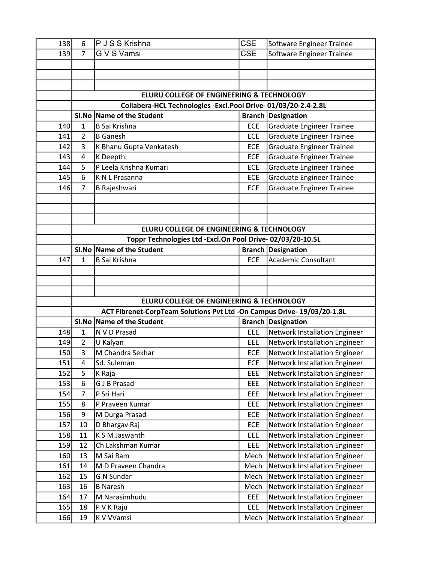| 138 | 6              | P J S S Krishna                                                         | <b>CSE</b>    | Software Engineer Trainee            |
|-----|----------------|-------------------------------------------------------------------------|---------------|--------------------------------------|
| 139 | $\overline{7}$ | <b>GVS</b> Vamsi                                                        | <b>CSE</b>    | Software Engineer Trainee            |
|     |                |                                                                         |               |                                      |
|     |                |                                                                         |               |                                      |
|     |                |                                                                         |               |                                      |
|     |                | ELURU COLLEGE OF ENGINEERING & TECHNOLOGY                               |               |                                      |
|     |                | Collabera-HCL Technologies -Excl.Pool Drive-01/03/20-2.4-2.8L           |               |                                      |
|     |                | SI.No Name of the Student                                               |               | <b>Branch Designation</b>            |
| 140 | $\mathbf{1}$   | <b>B Sai Krishna</b>                                                    | <b>ECE</b>    | <b>Graduate Engineer Trainee</b>     |
| 141 | $\overline{2}$ | <b>B</b> Ganesh                                                         | <b>ECE</b>    | <b>Graduate Engineer Trainee</b>     |
| 142 | 3              | K Bhanu Gupta Venkatesh                                                 | <b>ECE</b>    | <b>Graduate Engineer Trainee</b>     |
| 143 | $\overline{a}$ | K Deepthi                                                               | <b>ECE</b>    | <b>Graduate Engineer Trainee</b>     |
| 144 | 5              | P Leela Krishna Kumari                                                  | <b>ECE</b>    | <b>Graduate Engineer Trainee</b>     |
| 145 | 6              | K N L Prasanna                                                          | <b>ECE</b>    | <b>Graduate Engineer Trainee</b>     |
| 146 | $\overline{7}$ | <b>B Rajeshwari</b>                                                     | <b>ECE</b>    | <b>Graduate Engineer Trainee</b>     |
|     |                |                                                                         |               |                                      |
|     |                |                                                                         |               |                                      |
|     |                |                                                                         |               |                                      |
|     |                | ELURU COLLEGE OF ENGINEERING & TECHNOLOGY                               |               |                                      |
|     |                | Toppr Technologies Ltd - Excl. On Pool Drive-02/03/20-10.5L             |               |                                      |
|     |                | SI.No Name of the Student                                               | <b>Branch</b> | Designation                          |
| 147 | 1              | <b>B Sai Krishna</b>                                                    | <b>ECE</b>    | <b>Academic Consultant</b>           |
|     |                |                                                                         |               |                                      |
|     |                |                                                                         |               |                                      |
|     |                |                                                                         |               |                                      |
|     |                | ELURU COLLEGE OF ENGINEERING & TECHNOLOGY                               |               |                                      |
|     |                | ACT Fibrenet-CorpTeam Solutions Pvt Ltd -On Campus Drive- 19/03/20-1.8L |               |                                      |
|     |                | SI.No Name of the Student                                               |               | <b>Branch Designation</b>            |
| 148 | $\mathbf{1}$   | N V D Prasad                                                            | EEE           | Network Installation Engineer        |
| 149 | $\overline{2}$ | U Kalyan                                                                | <b>EEE</b>    | Network Installation Engineer        |
| 150 | 3              | M Chandra Sekhar                                                        | <b>ECE</b>    | Network Installation Engineer        |
| 151 | 4              | Sd. Suleman                                                             | ECE           | Network Installation Engineer        |
| 152 | 5              | K Raja                                                                  | EEE           | <b>Network Installation Engineer</b> |
| 153 | 6              | <b>G J B Prasad</b>                                                     | EEE           | Network Installation Engineer        |
| 154 | $\overline{7}$ | P Sri Hari                                                              | EEE           | Network Installation Engineer        |
| 155 | 8              | P Praveen Kumar                                                         | EEE           | Network Installation Engineer        |
| 156 | 9              | M Durga Prasad                                                          | ECE           | <b>Network Installation Engineer</b> |
| 157 | 10             | D Bhargav Raj                                                           | ECE           | Network Installation Engineer        |
| 158 | 11             | K S M Jaswanth                                                          | EEE           | Network Installation Engineer        |
| 159 | 12             | Ch Lakshman Kumar                                                       | EEE           | <b>Network Installation Engineer</b> |
| 160 | 13             | M Sai Ram                                                               | Mech          | Network Installation Engineer        |
| 161 | 14             | M D Praveen Chandra                                                     | Mech          | Network Installation Engineer        |
| 162 | 15             | <b>G N Sundar</b>                                                       | Mech          | Network Installation Engineer        |
| 163 | 16             | <b>B</b> Naresh                                                         | Mech          | Network Installation Engineer        |
| 164 | 17             | M Narasimhudu                                                           | EEE           | <b>Network Installation Engineer</b> |
| 165 | 18             | P V K Raju                                                              | EEE           | Network Installation Engineer        |
| 166 | 19             | K V VVamsi                                                              | Mech          | Network Installation Engineer        |